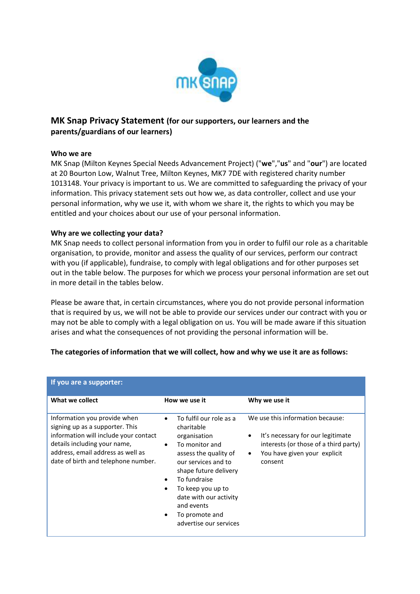

# **MK Snap Privacy Statement (for our supporters, our learners and the parents/guardians of our learners)**

## **Who we are**

MK Snap (Milton Keynes Special Needs Advancement Project) ("**we**","**us**" and "**our**") are located at 20 Bourton Low, Walnut Tree, Milton Keynes, MK7 7DE with registered charity number 1013148. Your privacy is important to us. We are committed to safeguarding the privacy of your information. This privacy statement sets out how we, as data controller, collect and use your personal information, why we use it, with whom we share it, the rights to which you may be entitled and your choices about our use of your personal information.

# **Why are we collecting your data?**

MK Snap needs to collect personal information from you in order to fulfil our role as a charitable organisation, to provide, monitor and assess the quality of our services, perform our contract with you (if applicable), fundraise, to comply with legal obligations and for other purposes set out in the table below. The purposes for which we process your personal information are set out in more detail in the tables below.

Please be aware that, in certain circumstances, where you do not provide personal information that is required by us, we will not be able to provide our services under our contract with you or may not be able to comply with a legal obligation on us. You will be made aware if this situation arises and what the consequences of not providing the personal information will be.

| If you are a supporter:                                                                                                                                                                                              |                                                                                                                                                                                                                                                                                                     |                                                                                                                                                                                     |
|----------------------------------------------------------------------------------------------------------------------------------------------------------------------------------------------------------------------|-----------------------------------------------------------------------------------------------------------------------------------------------------------------------------------------------------------------------------------------------------------------------------------------------------|-------------------------------------------------------------------------------------------------------------------------------------------------------------------------------------|
| What we collect                                                                                                                                                                                                      | How we use it                                                                                                                                                                                                                                                                                       | Why we use it                                                                                                                                                                       |
| Information you provide when<br>signing up as a supporter. This<br>information will include your contact<br>details including your name,<br>address, email address as well as<br>date of birth and telephone number. | To fulfil our role as a<br>$\bullet$<br>charitable<br>organisation<br>To monitor and<br>$\bullet$<br>assess the quality of<br>our services and to<br>shape future delivery<br>To fundraise<br>To keep you up to<br>date with our activity<br>and events<br>To promote and<br>advertise our services | We use this information because:<br>It's necessary for our legitimate<br>$\bullet$<br>interests (or those of a third party)<br>You have given your explicit<br>$\bullet$<br>consent |

## **The categories of information that we will collect, how and why we use it are as follows:**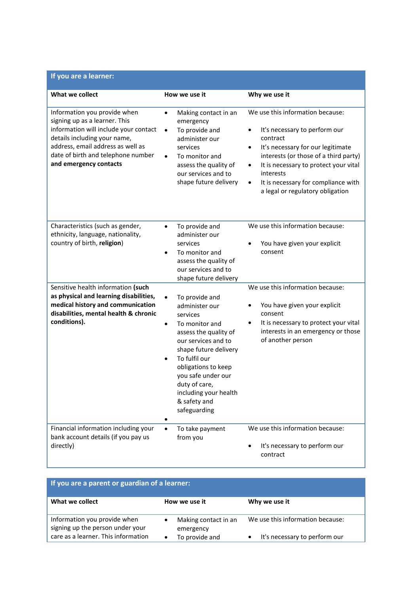| If you are a learner:                                                                                                                                                                                                                       |                                                                                                                                                                                                                                                                                                           |                                                                                                                                                                                                                                                                                                                                          |
|---------------------------------------------------------------------------------------------------------------------------------------------------------------------------------------------------------------------------------------------|-----------------------------------------------------------------------------------------------------------------------------------------------------------------------------------------------------------------------------------------------------------------------------------------------------------|------------------------------------------------------------------------------------------------------------------------------------------------------------------------------------------------------------------------------------------------------------------------------------------------------------------------------------------|
| What we collect                                                                                                                                                                                                                             | How we use it                                                                                                                                                                                                                                                                                             | Why we use it                                                                                                                                                                                                                                                                                                                            |
| Information you provide when<br>signing up as a learner. This<br>information will include your contact<br>details including your name,<br>address, email address as well as<br>date of birth and telephone number<br>and emergency contacts | Making contact in an<br>$\bullet$<br>emergency<br>To provide and<br>$\bullet$<br>administer our<br>services<br>To monitor and<br>$\bullet$<br>assess the quality of<br>our services and to<br>shape future delivery                                                                                       | We use this information because:<br>It's necessary to perform our<br>$\bullet$<br>contract<br>It's necessary for our legitimate<br>$\bullet$<br>interests (or those of a third party)<br>It is necessary to protect your vital<br>٠<br>interests<br>It is necessary for compliance with<br>$\bullet$<br>a legal or regulatory obligation |
| Characteristics (such as gender,<br>ethnicity, language, nationality,<br>country of birth, religion)                                                                                                                                        | To provide and<br>$\bullet$<br>administer our<br>services<br>To monitor and<br>$\bullet$<br>assess the quality of<br>our services and to<br>shape future delivery                                                                                                                                         | We use this information because:<br>You have given your explicit<br>consent                                                                                                                                                                                                                                                              |
| Sensitive health information (such<br>as physical and learning disabilities,<br>medical history and communication<br>disabilities, mental health & chronic<br>conditions).                                                                  | To provide and<br>$\bullet$<br>administer our<br>services<br>To monitor and<br>$\bullet$<br>assess the quality of<br>our services and to<br>shape future delivery<br>To fulfil our<br>obligations to keep<br>you safe under our<br>duty of care,<br>including your health<br>& safety and<br>safeguarding | We use this information because:<br>You have given your explicit<br>٠<br>consent<br>It is necessary to protect your vital<br>$\bullet$<br>interests in an emergency or those<br>of another person                                                                                                                                        |
| Financial information including your<br>bank account details (if you pay us<br>directly)                                                                                                                                                    | To take payment<br>$\bullet$<br>from you                                                                                                                                                                                                                                                                  | We use this information because:<br>It's necessary to perform our<br>contract                                                                                                                                                                                                                                                            |

| If you are a parent or guardian of a learner:                    |                                   |                                            |  |  |  |  |  |
|------------------------------------------------------------------|-----------------------------------|--------------------------------------------|--|--|--|--|--|
| What we collect                                                  | How we use it                     | Why we use it                              |  |  |  |  |  |
| Information you provide when<br>signing up the person under your | Making contact in an<br>emergency | We use this information because:           |  |  |  |  |  |
| care as a learner. This information                              | To provide and                    | It's necessary to perform our<br>$\bullet$ |  |  |  |  |  |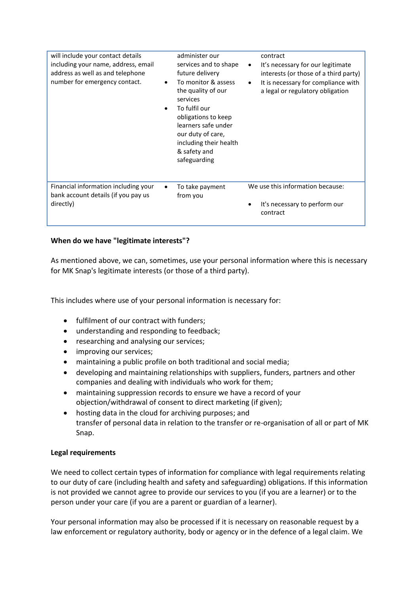| will include your contact details<br>including your name, address, email<br>address as well as and telephone<br>number for emergency contact. | administer our<br>services and to shape<br>future delivery<br>To monitor & assess<br>the quality of our<br>services<br>To fulfil our<br>obligations to keep<br>learners safe under<br>our duty of care,<br>including their health<br>& safety and<br>safeguarding | $\bullet$<br>٠ | contract<br>It's necessary for our legitimate<br>interests (or those of a third party)<br>It is necessary for compliance with<br>a legal or regulatory obligation |
|-----------------------------------------------------------------------------------------------------------------------------------------------|-------------------------------------------------------------------------------------------------------------------------------------------------------------------------------------------------------------------------------------------------------------------|----------------|-------------------------------------------------------------------------------------------------------------------------------------------------------------------|
| Financial information including your<br>bank account details (if you pay us<br>directly)                                                      | To take payment<br>from you                                                                                                                                                                                                                                       |                | We use this information because:<br>It's necessary to perform our<br>contract                                                                                     |

# **When do we have "legitimate interests"?**

As mentioned above, we can, sometimes, use your personal information where this is necessary for MK Snap's legitimate interests (or those of a third party).

This includes where use of your personal information is necessary for:

- fulfilment of our contract with funders;
- understanding and responding to feedback;
- researching and analysing our services;
- improving our services;
- maintaining a public profile on both traditional and social media;
- developing and maintaining relationships with suppliers, funders, partners and other companies and dealing with individuals who work for them;
- maintaining suppression records to ensure we have a record of your objection/withdrawal of consent to direct marketing (if given);
- hosting data in the cloud for archiving purposes; and transfer of personal data in relation to the transfer or re-organisation of all or part of MK Snap.

## **Legal requirements**

We need to collect certain types of information for compliance with legal requirements relating to our duty of care (including health and safety and safeguarding) obligations. If this information is not provided we cannot agree to provide our services to you (if you are a learner) or to the person under your care (if you are a parent or guardian of a learner).

Your personal information may also be processed if it is necessary on reasonable request by a law enforcement or regulatory authority, body or agency or in the defence of a legal claim. We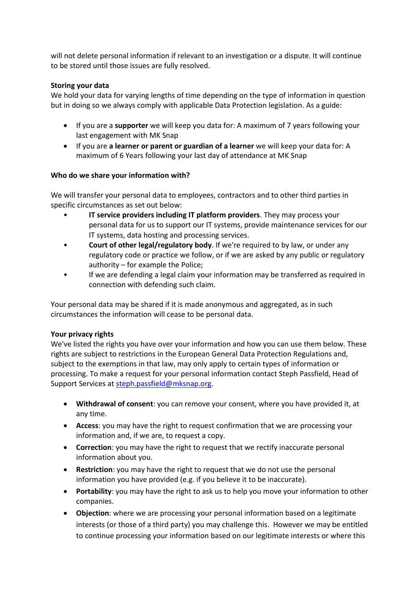will not delete personal information if relevant to an investigation or a dispute. It will continue to be stored until those issues are fully resolved.

# **Storing your data**

We hold your data for varying lengths of time depending on the type of information in question but in doing so we always comply with applicable Data Protection legislation. As a guide:

- If you are a **supporter** we will keep you data for: A maximum of 7 years following your last engagement with MK Snap
- If you are **a learner or parent or guardian of a learner** we will keep your data for: A maximum of 6 Years following your last day of attendance at MK Snap

# **Who do we share your information with?**

We will transfer your personal data to employees, contractors and to other third parties in specific circumstances as set out below:

- **IT service providers including IT platform providers**. They may process your personal data for us to support our IT systems, provide maintenance services for our IT systems, data hosting and processing services.
- **Court of other legal/regulatory body**. If we're required to by law, or under any regulatory code or practice we follow, or if we are asked by any public or regulatory authority – for example the Police;
- If we are defending a legal claim your information may be transferred as required in connection with defending such claim.

Your personal data may be shared if it is made anonymous and aggregated, as in such circumstances the information will cease to be personal data.

## **Your privacy rights**

We've listed the rights you have over your information and how you can use them below. These rights are subject to restrictions in the European General Data Protection Regulations and, subject to the exemptions in that law, may only apply to certain types of information or processing. To make a request for your personal information contact Steph Passfield, Head of Support Services at [steph.passfield@mksnap.org.](mailto:steph.passfield@mksnap.org)

- **Withdrawal of consent**: you can remove your consent, where you have provided it, at any time.
- **Access**: you may have the right to request confirmation that we are processing your information and, if we are, to request a copy.
- **Correction**: you may have the right to request that we rectify inaccurate personal information about you.
- **Restriction**: you may have the right to request that we do not use the personal information you have provided (e.g. if you believe it to be inaccurate).
- **Portability**: you may have the right to ask us to help you move your information to other companies.
- **Objection**: where we are processing your personal information based on a legitimate interests (or those of a third party) you may challenge this. However we may be entitled to continue processing your information based on our legitimate interests or where this